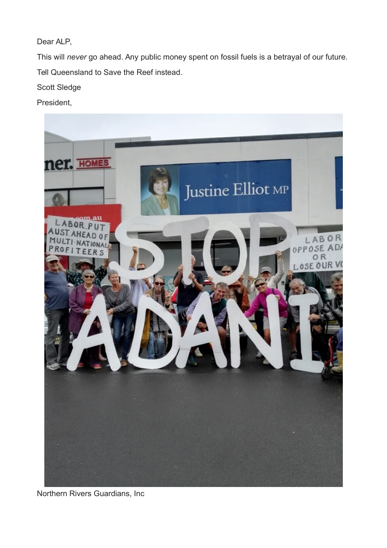## Dear ALP,

This will *never* go ahead. Any public money spent on fossil fuels is a betrayal of our future. Tell Queensland to Save the Reef instead.

Scott Sledge

President,



Northern Rivers Guardians, Inc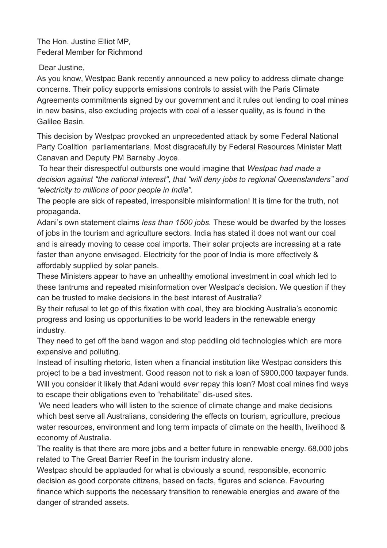The Hon. Justine Elliot MP, Federal Member for Richmond

Dear Justine,

As you know, Westpac Bank recently announced a new policy to address climate change concerns. Their policy supports emissions controls to assist with the Paris Climate Agreements commitments signed by our government and it rules out lending to coal mines in new basins, also excluding projects with coal of a lesser quality, as is found in the Galilee Basin.

This decision by Westpac provoked an unprecedented attack by some Federal National Party Coalition parliamentarians. Most disgracefully by Federal Resources Minister Matt Canavan and Deputy PM Barnaby Joyce.

To hear their disrespectful outbursts one would imagine that *Westpac had made a decision against "the national interest", that "will deny jobs to regional Queenslanders" and "electricity to millions of poor people in India".*

The people are sick of repeated, irresponsible misinformation! It is time for the truth, not propaganda.

Adani's own statement claims *less than 1500 jobs.* These would be dwarfed by the losses of jobs in the tourism and agriculture sectors. India has stated it does not want our coal and is already moving to cease coal imports. Their solar projects are increasing at a rate faster than anyone envisaged. Electricity for the poor of India is more effectively & affordably supplied by solar panels.

These Ministers appear to have an unhealthy emotional investment in coal which led to these tantrums and repeated misinformation over Westpac's decision. We question if they can be trusted to make decisions in the best interest of Australia?

By their refusal to let go of this fixation with coal, they are blocking Australia's economic progress and losing us opportunities to be world leaders in the renewable energy industry.

They need to get off the band wagon and stop peddling old technologies which are more expensive and polluting.

Instead of insulting rhetoric, listen when a financial institution like Westpac considers this project to be a bad investment. Good reason not to risk a loan of \$900,000 taxpayer funds. Will you consider it likely that Adani would *ever* repay this loan? Most coal mines find ways to escape their obligations even to "rehabilitate" dis-used sites.

We need leaders who will listen to the science of climate change and make decisions which best serve all Australians, considering the effects on tourism, agriculture, precious water resources, environment and long term impacts of climate on the health, livelihood & economy of Australia.

The reality is that there are more jobs and a better future in renewable energy. 68,000 jobs related to The Great Barrier Reef in the tourism industry alone.

Westpac should be applauded for what is obviously a sound, responsible, economic decision as good corporate citizens, based on facts, figures and science. Favouring finance which supports the necessary transition to renewable energies and aware of the danger of stranded assets.